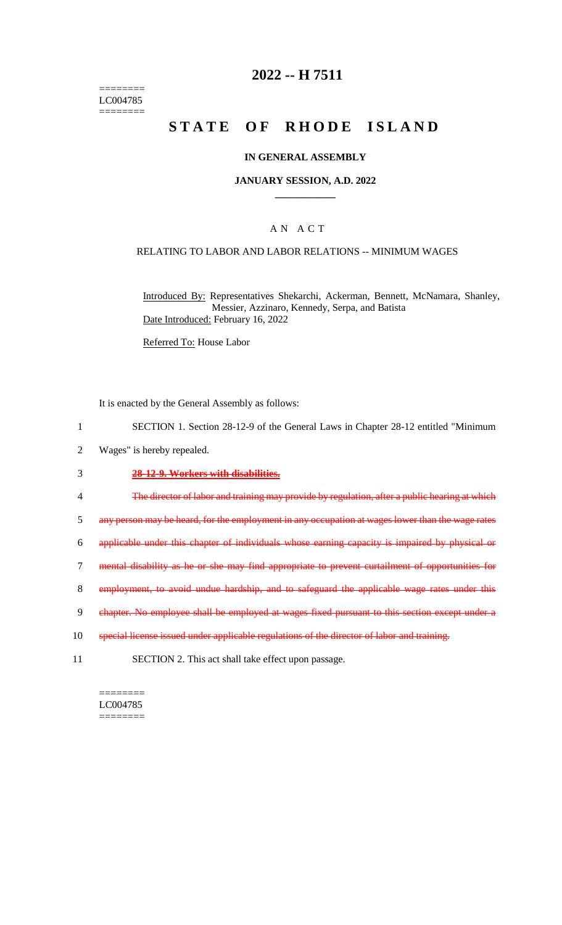======== LC004785 ========

### **2022 -- H 7511**

# **STATE OF RHODE ISLAND**

#### **IN GENERAL ASSEMBLY**

#### **JANUARY SESSION, A.D. 2022 \_\_\_\_\_\_\_\_\_\_\_\_**

#### A N A C T

#### RELATING TO LABOR AND LABOR RELATIONS -- MINIMUM WAGES

Introduced By: Representatives Shekarchi, Ackerman, Bennett, McNamara, Shanley, Messier, Azzinaro, Kennedy, Serpa, and Batista Date Introduced: February 16, 2022

Referred To: House Labor

It is enacted by the General Assembly as follows:

- 1 SECTION 1. Section 28-12-9 of the General Laws in Chapter 28-12 entitled "Minimum
- 2 Wages" is hereby repealed.

#### 3 **28-12-9. Workers with disabilities.**

- 4 The director of labor and training may provide by regulation, after a public hearing at which
- 5 any person may be heard, for the employment in any occupation at wages lower than the wage rates
- 6 applicable under this chapter of individuals whose earning capacity is impaired by physical or
- 7 mental disability as he or she may find appropriate to prevent curtailment of opportunities for
- 8 employment, to avoid undue hardship, and to safeguard the applicable wage rates under this
- 9 chapter. No employee shall be employed at wages fixed pursuant to this section except under a
- 10 special license issued under applicable regulations of the director of labor and training.
- 11 SECTION 2. This act shall take effect upon passage.

======== LC004785  $=$